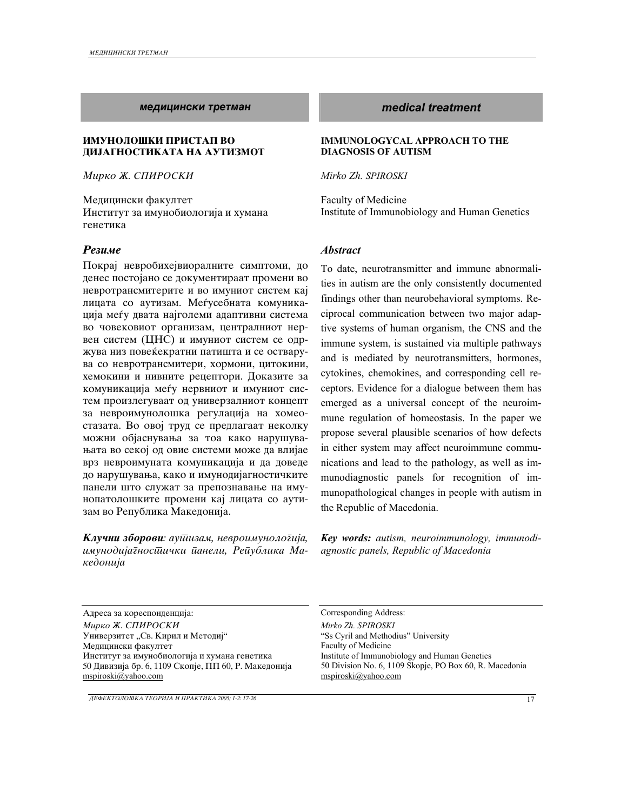#### *medicinski tretman medical treatment*

### **ИМУНОЛОШКИ ПРИСТАП ВО ДИЈАГНОСТИКАТА НА АУТИЗМОТ**

*Mirko @. SPIROSKI*

Медицински факултет Институт за имунобиологија и хумана генетика

#### *Rezime Abstract*

Покрај невробихејвиоралните симптоми, до денес постојано се документираат промени во невротрансмитерите и во имуниот систем кај лицата со аутизам. Меѓусебната комуникација меѓу двата најголеми адаптивни система во човековиот организам, централниот нервен систем (ЦНС) и имуниот систем се одржува низ повеќекратни патишта и се остварува со невротрансмитери, хормони, цитокини, хемокини и нивните рецептори. Доказите за комуникација меѓу нервниот и имуниот систем произлегуваат од универзалниот концепт за невроимунолошка регулација на хомеостазата. Во овој труд се предлагаат неколку можни објаснувања за тоа како нарушувањата во секој од овие системи може да влијае врз невроимуната комуникација и да доведе до нарушувања, како и имунодијагностичките панели што служат за препознавање на имунопатолошките промени кај лицата со аутизам во Република Македонија.

**Клучни зборови**: аушизам, невроимунологија, *imunodijagnosti~ki paneli, Republika Makedonija* 

#### **IMMUNOLOGYCAL APPROACH TO THE DIAGNOSIS OF AUTISM**

*Mirko Zh. SPIROSKI*

Faculty of Medicine Institute of Immunobiology and Human Genetics

To date, neurotransmitter and immune abnormalities in autism are the only consistently documented findings other than neurobehavioral symptoms. Reciprocal communication between two major adaptive systems of human organism, the CNS and the immune system, is sustained via multiple pathways and is mediated by neurotransmitters, hormones, cytokines, chemokines, and corresponding cell receptors. Evidence for a dialogue between them has emerged as a universal concept of the neuroimmune regulation of homeostasis. In the paper we propose several plausible scenarios of how defects in either system may affect neuroimmune communications and lead to the pathology, as well as immunodiagnostic panels for recognition of immunopathological changes in people with autism in the Republic of Macedonia.

*Key words: autism, neuroimmunology, immunodiagnostic panels, Republic of Macedonia*

Адреса за кореспонденција: Согresponding Address: *Mirko @. SPIROSKI Mirko Zh. SPIROSKI*  Универзитет "Св. Кирил и Методиј" Медицински факултет Институт за имунобиологија и хумана генетика 50 Дивизија бр. 6, 1109 Скопје, ПП 60, Р. Македонија mspiroski@yahoo.com

"Ss Cyril and Methodius" University Faculty of Medicine Institute of Immunobiology and Human Genetics 50 Division No. 6, 1109 Skopje, PO Box 60, R. Macedonia mspiroski@yahoo.com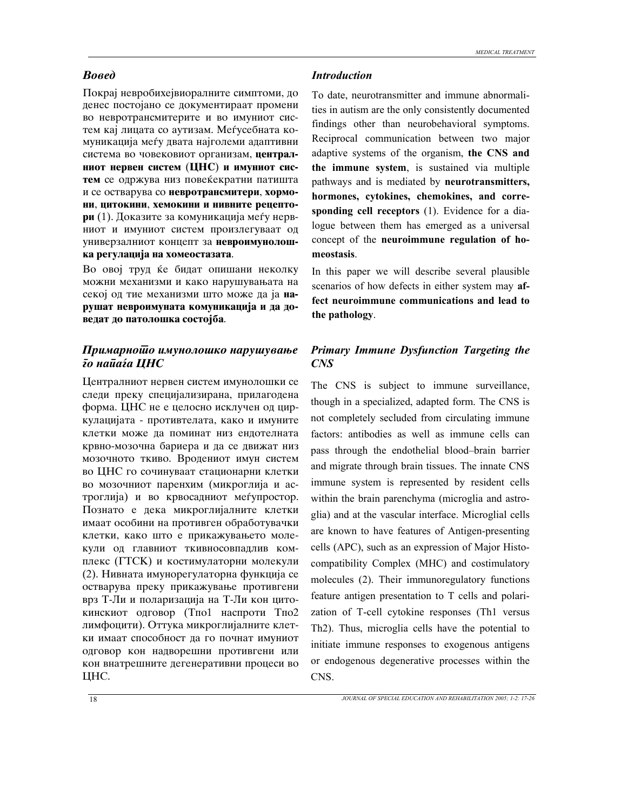#### *Bosed Introduction*

Покрај невробихејвиоралните симптоми, до денес постојано се документираат промени во невротрансмитерите и во имуниот систем кај лицата со аутизам. Меѓусебната комуникација меѓу двата најголеми адаптивни система во човековиот организам, централ**ниот нервен систем (ЦНС) и имуниот сис**тем се одржува низ повеќекратни патишта и се остварува со невротрансмитери, хормони, цитокини, хемокини и нивните рецепто**ри** (1). Доказите за комуникација меѓу нервниот и имуниот систем произлегуваат од универзалниот концепт за невроимунолош**ka regulacija na homeostazata**.

Во овој труд ќе бидат опишани неколку можни механизми и како нарушувањата на секој од тие механизми што може да ја **на**рушат невроимуната комуникација и да доведат до патолошка состојба.

## *Primarnoto imunolo{ko naru{uvawe*   $\bar{\imath}$ о наūаѓа ЦНС

Централниот нервен систем имунолошки се следи преку специјализирана, прилагодена форма. ЦНС не е целосно исклучен од циркулацијата - противтелата, како и имуните клетки може да поминат низ ендотелната крвно-мозочна бариера и да се движат низ мозочното ткиво. Вродениот имун систем во ЦНС го сочинуваат стационарни клетки во мозочниот паренхим (микроглија и астроглија) и во крвосадниот меѓупростор. Познато е дека микроглијалните клетки имаат особини на противген обработувачки клетки, како што е прикажувањето молекули од главниот ткивносовпадлив комплекс (ГТСК) и костимулаторни молекули (2). Нивната имунорегулаторна функција се остварува преку прикажување противгени врз Т-Ли и поларизација на Т-Ли кон цитокинскиот одговор (Тпо1 наспроти Тпо2 лимфоцити). Оттука микроглијалните клетки имаат способност да го почнат имуниот одговор кон надворешни противгени или кон внатрешните дегенеративни процеси во ЦHС.

To date, neurotransmitter and immune abnormalities in autism are the only consistently documented findings other than neurobehavioral symptoms. Reciprocal communication between two major adaptive systems of the organism, **the CNS and the immune system**, is sustained via multiple pathways and is mediated by **neurotransmitters, hormones, cytokines, chemokines, and corresponding cell receptors** (1). Evidence for a dialogue between them has emerged as a universal concept of the **neuroimmune regulation of homeostasis**.

In this paper we will describe several plausible scenarios of how defects in either system may **affect neuroimmune communications and lead to the pathology**.

## *Primary Immune Dysfunction Targeting the CNS*

The CNS is subject to immune surveillance, though in a specialized, adapted form. The CNS is not completely secluded from circulating immune factors: antibodies as well as immune cells can pass through the endothelial blood–brain barrier and migrate through brain tissues. The innate CNS immune system is represented by resident cells within the brain parenchyma (microglia and astroglia) and at the vascular interface. Microglial cells are known to have features of Antigen-presenting cells (APC), such as an expression of Major Histocompatibility Complex (MHC) and costimulatory molecules (2). Their immunoregulatory functions feature antigen presentation to T cells and polarization of T-cell cytokine responses (Th1 versus Th2). Thus, microglia cells have the potential to initiate immune responses to exogenous antigens or endogenous degenerative processes within the CNS.

*MEDICAL TREATMENT*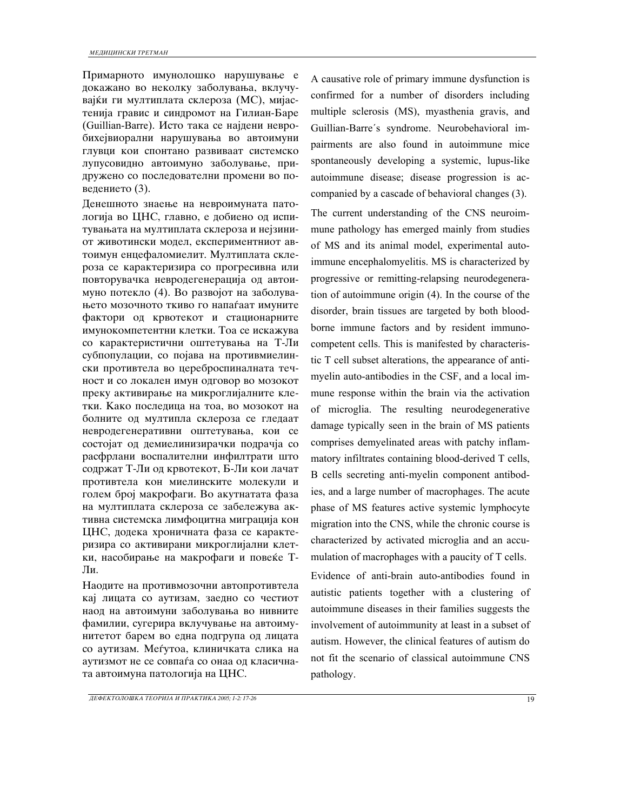Примарното имунолошко нарушување е докажано во неколку заболувања, вклучувајќи ги мултиплата склероза (MC), мијастенија гравис и синдромот на Гилиан-Баре (Guillian-Barre). Исто така се најдени невробихејвиорални нарушувања во автоимуни глувци кои спонтано развиваат системско лупусовидно автоимуно заболување, придружено со последователни промени во поведението (3).

Денешното знаење на невроимуната патологија во ЦНС, главно, е добиено од испитувањата на мултиплата склероза и нејзиниот животински модел, експериментниот автоимун енцефаломиелит. Мултиплата склероза се карактеризира со прогресивна или повторувачка невродегенерација од автоимуно потекло (4). Во развојот на заболувањето мозочното ткиво го напаѓаат имуните фактори од крвотекот и стационарните имунокомпетентни клетки. Тоа се искажува со карактеристични оштетувања на Т-Ли субпопулации, со појава на противмиелински противтела во цереброспиналната течност и со локален имун одговор во мозокот преку активирање на микроглијалните клетки. Како последица на тоа, во мозокот на болните од мултипла склероза се гледаат невродегенеративни оштетувања, кои се состојат од демиелинизирачки подрачја со расфрлани воспалителни инфилтрати што содржат Т-Ли од крвотекот, Б-Ли кои лачат противтела кон миелинските молекули и голем број макрофаги. Во акутнатата фаза на мултиплата склероза се забележува активна системска лимфоцитна миграција кон ЦНС, додека хроничната фаза се карактеризира со активирани микроглијални клетки, насобирање на макрофаги и повеќе Т-Ли.

Наодите на противмозочни автопротивтела кај лицата со аутизам, заедно со честиот наод на автоимуни заболувања во нивните фамилии, сугерира вклучување на автоимунитетот барем во една подгрупа од лицата со аутизам. Меѓутоа, клиничката слика на аутизмот не се совпаѓа со онаа од класичната автоимуна патологија на ЦНС.

A causative role of primary immune dysfunction is confirmed for a number of disorders including multiple sclerosis (MS), myasthenia gravis, and Guillian-Barre´s syndrome. Neurobehavioral impairments are also found in autoimmune mice spontaneously developing a systemic, lupus-like autoimmune disease; disease progression is accompanied by a cascade of behavioral changes (3).

The current understanding of the CNS neuroimmune pathology has emerged mainly from studies of MS and its animal model, experimental autoimmune encephalomyelitis. MS is characterized by progressive or remitting-relapsing neurodegeneration of autoimmune origin (4). In the course of the disorder, brain tissues are targeted by both bloodborne immune factors and by resident immunocompetent cells. This is manifested by characteristic T cell subset alterations, the appearance of antimyelin auto-antibodies in the CSF, and a local immune response within the brain via the activation of microglia. The resulting neurodegenerative damage typically seen in the brain of MS patients comprises demyelinated areas with patchy inflammatory infiltrates containing blood-derived T cells, B cells secreting anti-myelin component antibodies, and a large number of macrophages. The acute phase of MS features active systemic lymphocyte migration into the CNS, while the chronic course is characterized by activated microglia and an accumulation of macrophages with a paucity of T cells.

Evidence of anti-brain auto-antibodies found in autistic patients together with a clustering of autoimmune diseases in their families suggests the involvement of autoimmunity at least in a subset of autism. However, the clinical features of autism do not fit the scenario of classical autoimmune CNS pathology.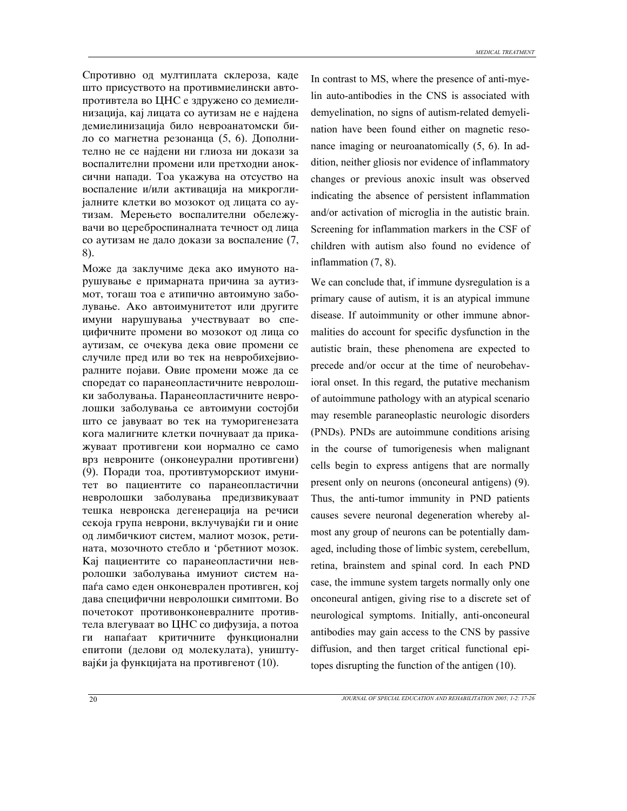Спротивно од мултиплата склероза, каде што присуството на противмиелински автопротивтела во ЦНС е здружено со демиелинизација, кај лицата со аутизам не е најдена демиелинизација било невроанатомски било со магнетна резонанца (5, 6). Дополнително не се најдени ни глиоза ни докази за воспалителни промени или претходни аноксични напади. Тоа укажува на отсуство на воспаление и/или активација на микроглијалните клетки во мозокот од лицата со аутизам. Мерењето воспалителни обележувачи во цереброспиналната течност од лица со аутизам не дало докази за воспаление (7, 8).

Може да заклучиме дека ако имуното нарушување е примарната причина за аутизмот, тогаш тоа е атипично автоимуно заболување. Ако автоимунитетот или другите имуни нарушувања учествуваат во специфичните промени во мозокот од лица со аутизам, се очекува дека овие промени се случиле пред или во тек на невробихејвиоралните појави. Овие промени може да се споредат со паранеопластичните невролошки заболувања. Паранеопластичните невролошки заболувања се автоимуни состојби што се јавуваат во тек на туморигенезата кога малигните клетки почнуваат да прикажуваат противгени кои нормално се само врз невроните (онконеурални противгени) (9). Поради тоа, противтуморскиот имунитет во пациентите со паранеопластични невролошки заболувања предизвикуваат тешка невронска дегенерација на речиси секоја група неврони, вклучувајќи ги и оние од лимбичкиот систем, малиот мозок, ретината, мозочното стебло и 'рбетниот мозок. Кај пациентите со паранеопластични невролошки заболувања имуниот систем напаѓа само еден онконеврален противген, кој дава специфични невролошки симптоми. Во почетокот противонконевралните противтела влегуваат во ЦНС со дифузија, а потоа ги напаѓаат критичните функционални епитопи (делови од молекулата), уништувајќи ја функцијата на противгенот (10).

In contrast to MS, where the presence of anti-myelin auto-antibodies in the CNS is associated with demyelination, no signs of autism-related demyelination have been found either on magnetic resonance imaging or neuroanatomically (5, 6). In addition, neither gliosis nor evidence of inflammatory changes or previous anoxic insult was observed indicating the absence of persistent inflammation and/or activation of microglia in the autistic brain. Screening for inflammation markers in the CSF of children with autism also found no evidence of inflammation (7, 8).

We can conclude that, if immune dysregulation is a primary cause of autism, it is an atypical immune disease. If autoimmunity or other immune abnormalities do account for specific dysfunction in the autistic brain, these phenomena are expected to precede and/or occur at the time of neurobehavioral onset. In this regard, the putative mechanism of autoimmune pathology with an atypical scenario may resemble paraneoplastic neurologic disorders (PNDs). PNDs are autoimmune conditions arising in the course of tumorigenesis when malignant cells begin to express antigens that are normally present only on neurons (onconeural antigens) (9). Thus, the anti-tumor immunity in PND patients causes severe neuronal degeneration whereby almost any group of neurons can be potentially damaged, including those of limbic system, cerebellum, retina, brainstem and spinal cord. In each PND case, the immune system targets normally only one onconeural antigen, giving rise to a discrete set of neurological symptoms. Initially, anti-onconeural antibodies may gain access to the CNS by passive diffusion, and then target critical functional epitopes disrupting the function of the antigen (10).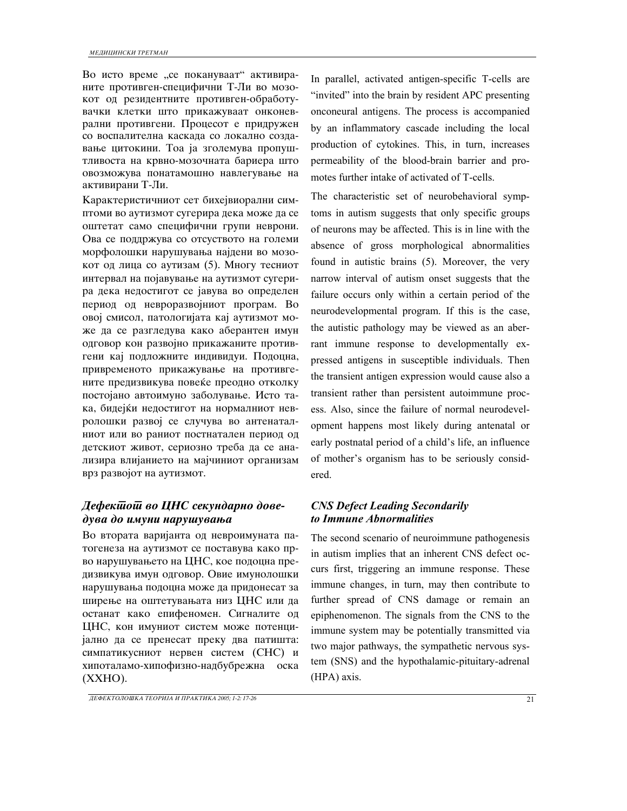Во исто време "се покануваат" активираните противген-специфични Т-Ли во мозокот од резидентните противген-обработувачки клетки што прикажуваат онконеврални противгени. Процесот е придружен со воспалителна каскада со локално создавање цитокини. Тоа ја зголемува пропуштливоста на крвно-мозочната бариера што овозможува понатамошно навлегување на активирани Т-Ли.

Карактеристичниот сет бихејвиорални симптоми во аутизмот сугерира дека може да се оштетат само специфични групи неврони. Ова се поддржува со отсуството на големи морфолошки нарушувања најдени во мозокот од лица со аутизам (5). Многу тесниот интервал на појавување на аутизмот сугерира дека недостигот се јавува во определен период од невроразвојниот програм. Во овој смисол, патологијата кај аутизмот може да се разгледува како аберантен имун одговор кон развојно прикажаните противгени кај подложните индивидуи. Подоцна, привременото прикажување на противгените предизвикува повеќе преодно отколку постојано автоимуно заболување. Исто така, бидејќи недостигот на нормалниот невролошки развој се случува во антенаталниот или во раниот постнатален период од детскиот живот, сериозно треба да се анализира влијанието на мајчиниот организам врз развојот на аутизмот.

# *Defektot vo CNS sekundarno dove-* $\partial$ *yва до имуни нарушувања*

Во втората варијанта од невроимуната патогенеза на аутизмот се поставува како прво нарушувањето на ЦНС, кое подоцна предизвикува имун одговор. Овие имунолошки нарушувања подоцна може да придонесат за ширење на оштетувањата низ ЦНС или да останат како епифеномен. Сигналите од ЦНС, кон имуниот систем може потенцијално да се пренесат преку два патишта: симпатикусниот нервен систем (СНС) и хипоталамо-хипофизно-надбубрежна оска  $(XXHO)$ .

In parallel, activated antigen-specific T-cells are "invited" into the brain by resident APC presenting onconeural antigens. The process is accompanied by an inflammatory cascade including the local production of cytokines. This, in turn, increases permeability of the blood-brain barrier and promotes further intake of activated of T-cells.

The characteristic set of neurobehavioral symptoms in autism suggests that only specific groups of neurons may be affected. This is in line with the absence of gross morphological abnormalities found in autistic brains (5). Moreover, the very narrow interval of autism onset suggests that the failure occurs only within a certain period of the neurodevelopmental program. If this is the case, the autistic pathology may be viewed as an aberrant immune response to developmentally expressed antigens in susceptible individuals. Then the transient antigen expression would cause also a transient rather than persistent autoimmune process. Also, since the failure of normal neurodevelopment happens most likely during antenatal or early postnatal period of a child's life, an influence of mother's organism has to be seriously considered.

## *CNS Defect Leading Secondarily to Immune Abnormalities*

The second scenario of neuroimmune pathogenesis in autism implies that an inherent CNS defect occurs first, triggering an immune response. These immune changes, in turn, may then contribute to further spread of CNS damage or remain an epiphenomenon. The signals from the CNS to the immune system may be potentially transmitted via two major pathways, the sympathetic nervous system (SNS) and the hypothalamic-pituitary-adrenal (HPA) axis.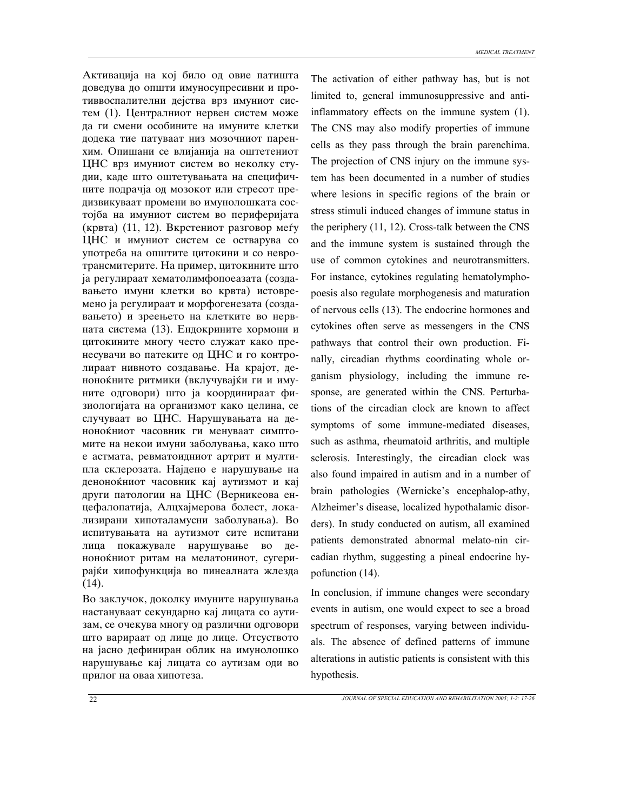Активација на кој било од овие патишта доведува до општи имуносупресивни и противвоспалителни дејства врз имуниот систем (1). Централниот нервен систем може да ги смени особините на имуните клетки додека тие патуваат низ мозочниот паренхим. Опишани се влијанија на оштетениот ЦНС врз имуниот систем во неколку студии, каде што оштетувањата на специфичните подрачја од мозокот или стресот предизвикуваат промени во имунолошката состојба на имуниот систем во периферијата (крвта) (11, 12). Вкрстениот разговор меѓу ЦНС и имуниот систем се остварува со употреба на општите цитокини и со невротрансмитерите. На пример, цитокините што ja регулираат хематолимфопоеазата (создавањето имуни клетки во крвта) истовремено ја регулираат и морфогенезата (создавањето) и зреењето на клетките во нервната система (13). Ендокрините хормони и цитокините многу често служат како пренесувачи во патеките од ЦНС и го контролираат нивното создавање. На крајот, деноноќните ритмики (вклучувајќи ги и имуните одговори) што ја координираат физиологијата на организмот како целина, се случуваат во ЦНС. Нарушувањата на деноноќниот часовник ги менуваат симптомите на некои имуни заболувања, како што e астмата, ревматоидниот артрит и мултипла склерозата. Најдено е нарушување на деноноќниот часовник кај аутизмот и кај други патологии на ЦНС (Верникеова енцефалопатија, Алцхајмерова болест, локализирани хипоталамусни заболувања). Во испитувањата на аутизмот сите испитани лица покажувале нарушување во деноноќниот ритам на мелатонинот, сугерирајќи хипофункција во пинеалната жлезда  $(14)$ .

Во заклучок, доколку имуните нарушувања настануваат секундарно кај лицата со аутизам, се очекува многу од различни одговори што варираат од лице до лице. Отсуството на јасно дефиниран облик на имунолошко нарушување кај лицата со аутизам оди во прилог на оваа хипотеза.

The activation of either pathway has, but is not limited to, general immunosuppressive and antiinflammatory effects on the immune system (1). The CNS may also modify properties of immune cells as they pass through the brain parenchima. The projection of CNS injury on the immune system has been documented in a number of studies where lesions in specific regions of the brain or stress stimuli induced changes of immune status in the periphery (11, 12). Cross-talk between the CNS and the immune system is sustained through the use of common cytokines and neurotransmitters. For instance, cytokines regulating hematolymphopoesis also regulate morphogenesis and maturation of nervous cells (13). The endocrine hormones and cytokines often serve as messengers in the CNS pathways that control their own production. Finally, circadian rhythms coordinating whole organism physiology, including the immune response, are generated within the CNS. Perturbations of the circadian clock are known to affect symptoms of some immune-mediated diseases, such as asthma, rheumatoid arthritis, and multiple sclerosis. Interestingly, the circadian clock was also found impaired in autism and in a number of brain pathologies (Wernicke's encephalop-athy, Alzheimer's disease, localized hypothalamic disorders). In study conducted on autism, all examined patients demonstrated abnormal melato-nin circadian rhythm, suggesting a pineal endocrine hypofunction (14).

In conclusion, if immune changes were secondary events in autism, one would expect to see a broad spectrum of responses, varying between individuals. The absence of defined patterns of immune alterations in autistic patients is consistent with this hypothesis.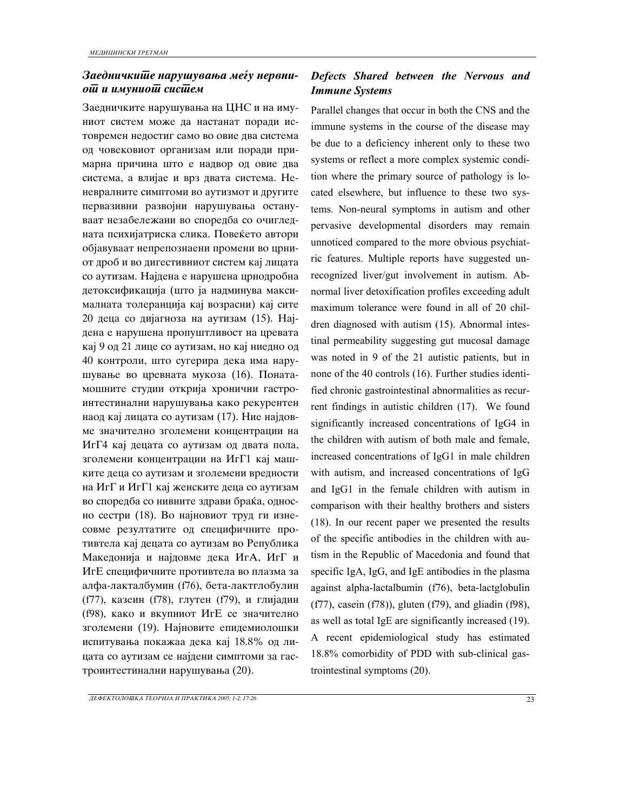## $\bm{a}$ аедничкише нарушувања меѓу нервни $o\overline{u}$  и имунио $\overline{u}$  сис $\overline{u}$ ем

Заедничките нарушувања на ЦНС и на имуниот систем може да настанат поради истовремен недостиг само во овие два система од човековиот организам или поради примарна причина што е надвор од овие два система, а влијае и врз двата система. Неневралните симптоми во аутизмот и другите первазивни развојни нарушувања остануваат незабележани во споредба со очигледната психијатриска слика. Повеќето автори објавуваат непрепознаени промени во црниот дроб и во дигестивниот систем кај лицата со аутизам. Најдена е нарушена црнодробна детоксификација (што ја надминува максималната толеранција кај возрасни) кај сите 20 деца со дијагноза на аутизам (15). Најдена е нарушена пропуштливост на цревата кај 9 од 21 лице со аутизам, но кај ниедно од 40 контроли, што сугерира дека има нарушување во цревната мукоза (16). Понатамошните студии открија хронични гастроинтестинални нарушувања како рекурентен наод кај лицата со аутизам (17). Ние најдовме значително зголемени концентрации на ИгГ4 кај децата со аутизам од двата пола, зголемени концентрации на ИгГ1 кај машките деца со аутизам и зголемени вредности на ИгГ и ИгГ1 кај женските деца со аутизам во споредба со нивните здрави браќа, односно сестри (18). Во најновиот труд ги изнесовме резултатите од специфичните противтела кај децата со аутизам во Република Македонија и најдовме дека ИгА, ИгГ и ИгЕ специфичните противтела во плазма за алфа-лакталбумин (f76), бета-лактглобулин (f77), казеин (f78), глутен (f79), и глијадин (f98), како и вкупниот ИгЕ се значително зголемени (19). Најновите епидемиолошки испитувања покажаа дека кај 18.8% од лицата со аутизам се најдени симптоми за гастроинтестинални нарушувања (20).

## *Defects Shared between the Nervous and Immune Systems*

Parallel changes that occur in both the CNS and the immune systems in the course of the disease may be due to a deficiency inherent only to these two systems or reflect a more complex systemic condition where the primary source of pathology is located elsewhere, but influence to these two systems. Non-neural symptoms in autism and other pervasive developmental disorders may remain unnoticed compared to the more obvious psychiatric features. Multiple reports have suggested unrecognized liver/gut involvement in autism. Abnormal liver detoxification profiles exceeding adult maximum tolerance were found in all of 20 children diagnosed with autism (15). Abnormal intestinal permeability suggesting gut mucosal damage was noted in 9 of the 21 autistic patients, but in none of the 40 controls (16). Further studies identified chronic gastrointestinal abnormalities as recurrent findings in autistic children (17). We found significantly increased concentrations of IgG4 in the children with autism of both male and female, increased concentrations of IgG1 in male children with autism, and increased concentrations of IgG and IgG1 in the female children with autism in comparison with their healthy brothers and sisters (18). In our recent paper we presented the results of the specific antibodies in the children with autism in the Republic of Macedonia and found that specific IgA, IgG, and IgE antibodies in the plasma against alpha-lactalbumin (f76), beta-lactglobulin (f77), casein (f78)), gluten (f79), and gliadin (f98), as well as total IgE are significantly increased (19). A recent epidemiological study has estimated 18.8% comorbidity of PDD with sub-clinical gastrointestinal symptoms (20).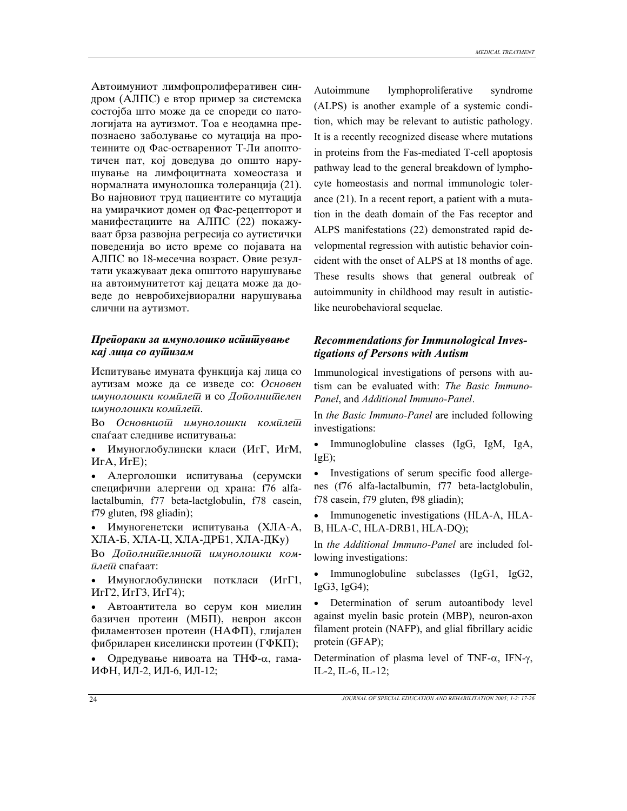Автоимуниот лимфопролиферативен синдром (АЛПС) е втор пример за системска состојба што може да се спореди со патологијата на аутизмот. Тоа е неодамна препознаено заболување со мутација на протеините од Фас-остварениот Т-Ли апоптотичен пат, кој доведува до општо нарушување на лимфоцитната хомеостаза и нормалната имунолошка толеранција (21). Во најновиот труд пациентите со мутација на умирачкиот домен од Фас-рецепторот и манифестациите на АЛПС (22) покажуваат брза развојна регресија со аутистички поведенија во исто време со појавата на АЛПС во 18-месечна возраст. Овие резултати укажуваат дека општото нарушување на автоимунитетот кај децата може да доведе до невробихејвиорални нарушувања слични на аутизмот.

### *Прейораки за имунолошко исйишување kaj лица со аушизам*

Испитување имуната функција кај лица со аутизам може да се изведе со: Основен *imunolo{ki komplet* i so *Dopolnitelen imunolo{ki komplet*.

Во Основниош имунолошки комилеш спаѓаат следниве испитувања:

• Имуноглобулински класи (ИгГ, ИгМ,  $HrA, HrE);$ 

• Алерголошки испитувања (серумски специфични алергени од храна: f76 alfalactalbumin, f77 beta-lactglobulin, f78 casein, f79 gluten, f98 gliadin);

Имуногенетски испитувања (XЛА-А, ХЛА-Б, ХЛА-Ц, ХЛА-ДРБ1, ХЛА-ДКу)

Во Дойолни<del>йелниой</del> имунолошки ком- $\bar{\mu}$ *ae* $\bar{\mu}$  cuataat:

• Имуноглобулински поткласи (ИгГ1,  $Mr\Gamma2, Mr\Gamma3, Mr\Gamma4);$ 

• Автоантитела во серум кон миелин базичен протеин (МБП), неврон аксон филаментозен протеин (НАФП), глијален фибриларен киселински протеин (ГФКП);

Одредување нивоата на ТНФ-α, гама-ИФН, ИЛ-2, ИЛ-6, ИЛ-12;

Autoimmune lymphoproliferative syndrome (ALPS) is another example of a systemic condition, which may be relevant to autistic pathology. It is a recently recognized disease where mutations in proteins from the Fas-mediated T-cell apoptosis pathway lead to the general breakdown of lymphocyte homeostasis and normal immunologic tolerance (21). In a recent report, a patient with a mutation in the death domain of the Fas receptor and ALPS manifestations (22) demonstrated rapid developmental regression with autistic behavior coincident with the onset of ALPS at 18 months of age. These results shows that general outbreak of autoimmunity in childhood may result in autisticlike neurobehavioral sequelae.

## *Recommendations for Immunological Investigations of Persons with Autism*

Immunological investigations of persons with autism can be evaluated with: *The Basic Immuno-Panel*, and *Additional Immuno-Panel*.

In *the Basic Immuno-Panel* are included following investigations:

• Immunoglobuline classes (IgG, IgM, IgA, IgE);

• Investigations of serum specific food allergenes (f76 alfa-lactalbumin, f77 beta-lactglobulin, f78 casein, f79 gluten, f98 gliadin);

• Immunogenetic investigations (HLA-A, HLA-B, HLA-C, HLA-DRB1, HLA-DQ);

In *the Additional Immuno-Panel* are included following investigations:

• Immunoglobuline subclasses (IgG1, IgG2, IgG3, IgG4);

• Determination of serum autoantibody level against myelin basic protein (MBP), neuron-axon filament protein (NAFP), and glial fibrillary acidic protein (GFAP);

Determination of plasma level of TNF- $\alpha$ , IFN- $\gamma$ , IL-2, IL-6, IL-12;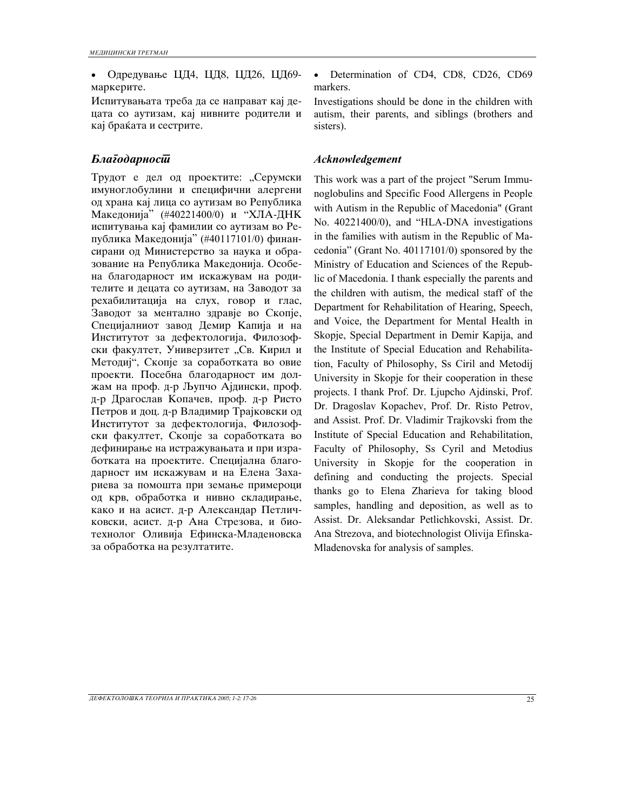• Одредување ЦД4, ЦД8, ЦД26, ЦД69маркерите.

Испитувањата треба да се направат кај децата со аутизам, кај нивните родители и кај браќата и сестрите.

Трудот е дел од проектите: "Серумски имуноглобулини и специфични алергени од храна кај лица со аутизам во Република Македонија" (#40221400/0) и "ХЛА-ДНК испитувања кај фамилии со аутизам во Република Македонија" (#40117101/0) финансирани од Министерство за наука и образование на Република Македонија. Особена благодарност им искажувам на родителите и децата со аутизам, на Заводот за рехабилитација на слух, говор и глас, Заводот за ментално здравје во Скопје, Специјалниот завод Демир Капија и на Институтот за дефектологија, Филозофски факултет, Универзитет "Св. Кирил и Методиј", Скопје за соработката во овие проекти. Посебна благодарност им должам на проф. д-р Љупчо Ајдински, проф. д-р Драгослав Копачев, проф. д-р Ристо Петров и доц. д-р Владимир Трајковски од Институтот за дефектологија, Филозофски факултет, Скопје за соработката во дефинирање на истражувањата и при изработката на проектите. Специјална благодарност им искажувам и на Елена Захариева за помошта при земање примероци од крв, обработка и нивно складирање, како и на асист. д-р Александар Петличковски, асист. д-р Ана Стрезова, и биотехнолог Оливија Ефинска-Младеновска за обработка на резултатите.

Determination of CD4, CD8, CD26, CD69 markers.

Investigations should be done in the children with autism, their parents, and siblings (brothers and sisters).

### *Blagodarnost Acknowledgement*

This work was a part of the project "Serum Immunoglobulins and Specific Food Allergens in People with Autism in the Republic of Macedonia" (Grant No. 40221400/0), and "HLA-DNA investigations in the families with autism in the Republic of Macedonia" (Grant No. 40117101/0) sponsored by the Ministry of Education and Sciences of the Republic of Macedonia. I thank especially the parents and the children with autism, the medical staff of the Department for Rehabilitation of Hearing, Speech, and Voice, the Department for Mental Health in Skopje, Special Department in Demir Kapija, and the Institute of Special Education and Rehabilitation, Faculty of Philosophy, Ss Ciril and Metodij University in Skopje for their cooperation in these projects. I thank Prof. Dr. Ljupcho Ajdinski, Prof. Dr. Dragoslav Kopachev, Prof. Dr. Risto Petrov, and Assist. Prof. Dr. Vladimir Trajkovski from the Institute of Special Education and Rehabilitation, Faculty of Philosophy, Ss Cyril and Metodius University in Skopje for the cooperation in defining and conducting the projects. Special thanks go to Elena Zharieva for taking blood samples, handling and deposition, as well as to Assist. Dr. Aleksandar Petlichkovski, Assist. Dr. Ana Strezova, and biotechnologist Olivija Efinska-Mladenovska for analysis of samples.